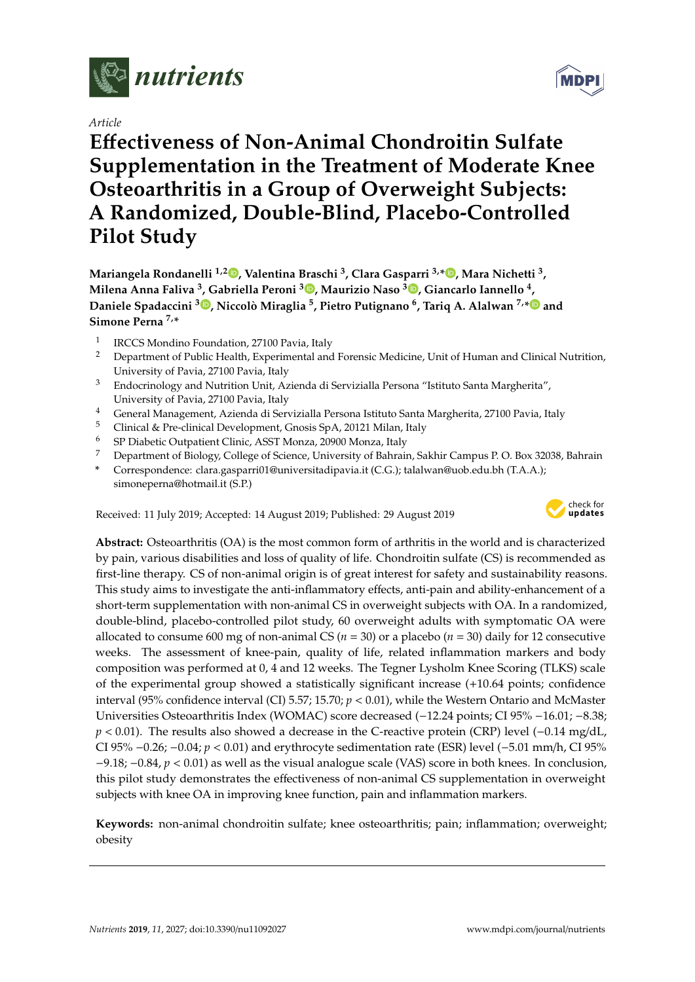

*Article*

# **E**ff**ectiveness of Non-Animal Chondroitin Sulfate Supplementation in the Treatment of Moderate Knee Osteoarthritis in a Group of Overweight Subjects: A Randomized, Double-Blind, Placebo-Controlled Pilot Study**

**Mariangela Rondanelli 1,[2](https://orcid.org/0000-0001-8336-4851) , Valentina Braschi <sup>3</sup> , Clara Gasparri 3,\* [,](https://orcid.org/0000-0002-1088-6648) Mara Nichetti <sup>3</sup> , Milena Anna Faliva <sup>3</sup> , Gabriella Peroni <sup>3</sup> [,](https://orcid.org/0000-0002-1632-1787) Maurizio Naso <sup>3</sup> [,](https://orcid.org/0000-0002-7693-4542) Giancarlo Iannello <sup>4</sup> , Daniele Spadaccini <sup>3</sup> [,](https://orcid.org/0000-0001-6413-9253) Niccolò Miraglia <sup>5</sup> , Pietro Putignano <sup>6</sup> , Tariq A. Alalwan 7,[\\*](https://orcid.org/0000-0002-2720-1473) and Simone Perna 7,\***

- 1 IRCCS Mondino Foundation, 27100 Pavia, Italy
- <sup>2</sup> Department of Public Health, Experimental and Forensic Medicine, Unit of Human and Clinical Nutrition, University of Pavia, 27100 Pavia, Italy
- <sup>3</sup> Endocrinology and Nutrition Unit, Azienda di Servizialla Persona "Istituto Santa Margherita", University of Pavia, 27100 Pavia, Italy
- <sup>4</sup> General Management, Azienda di Servizialla Persona Istituto Santa Margherita, 27100 Pavia, Italy
- <sup>5</sup> Clinical & Pre-clinical Development, Gnosis SpA, 20121 Milan, Italy<br>6. CD Diskatic Outpatient Clinical SCT Manac, 2000 Manac, Italy
- <sup>6</sup> SP Diabetic Outpatient Clinic, ASST Monza, 20900 Monza, Italy
- <sup>7</sup> Department of Biology, College of Science, University of Bahrain, Sakhir Campus P. O. Box 32038, Bahrain
- **\*** Correspondence: clara.gasparri01@universitadipavia.it (C.G.); talalwan@uob.edu.bh (T.A.A.); simoneperna@hotmail.it (S.P.)

Received: 11 July 2019; Accepted: 14 August 2019; Published: 29 August 2019



**Abstract:** Osteoarthritis (OA) is the most common form of arthritis in the world and is characterized by pain, various disabilities and loss of quality of life. Chondroitin sulfate (CS) is recommended as first-line therapy. CS of non-animal origin is of great interest for safety and sustainability reasons. This study aims to investigate the anti-inflammatory effects, anti-pain and ability-enhancement of a short-term supplementation with non-animal CS in overweight subjects with OA. In a randomized, double-blind, placebo-controlled pilot study, 60 overweight adults with symptomatic OA were allocated to consume 600 mg of non-animal CS ( $n = 30$ ) or a placebo ( $n = 30$ ) daily for 12 consecutive weeks. The assessment of knee-pain, quality of life, related inflammation markers and body composition was performed at 0, 4 and 12 weeks. The Tegner Lysholm Knee Scoring (TLKS) scale of the experimental group showed a statistically significant increase (+10.64 points; confidence interval (95% confidence interval (CI) 5.57; 15.70; *p* < 0.01), while the Western Ontario and McMaster Universities Osteoarthritis Index (WOMAC) score decreased (−12.24 points; CI 95% −16.01; −8.38; *p* < 0.01). The results also showed a decrease in the C-reactive protein (CRP) level (−0.14 mg/dL, CI 95% −0.26; −0.04; *p* < 0.01) and erythrocyte sedimentation rate (ESR) level (−5.01 mm/h, CI 95% −9.18; −0.84, *p* < 0.01) as well as the visual analogue scale (VAS) score in both knees. In conclusion, this pilot study demonstrates the effectiveness of non-animal CS supplementation in overweight subjects with knee OA in improving knee function, pain and inflammation markers.

**Keywords:** non-animal chondroitin sulfate; knee osteoarthritis; pain; inflammation; overweight; obesity

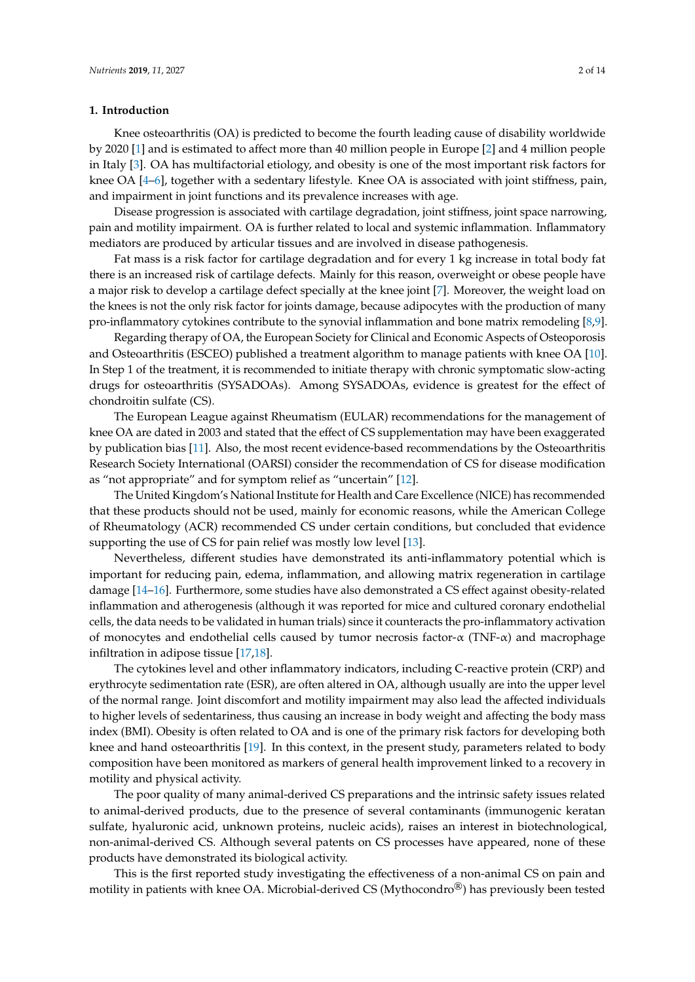## **1. Introduction**

Knee osteoarthritis (OA) is predicted to become the fourth leading cause of disability worldwide by 2020 [\[1\]](#page-11-0) and is estimated to affect more than 40 million people in Europe [\[2\]](#page-11-1) and 4 million people in Italy [\[3\]](#page-11-2). OA has multifactorial etiology, and obesity is one of the most important risk factors for knee OA [\[4–](#page-12-0)[6\]](#page-12-1), together with a sedentary lifestyle. Knee OA is associated with joint stiffness, pain, and impairment in joint functions and its prevalence increases with age.

Disease progression is associated with cartilage degradation, joint stiffness, joint space narrowing, pain and motility impairment. OA is further related to local and systemic inflammation. Inflammatory mediators are produced by articular tissues and are involved in disease pathogenesis.

Fat mass is a risk factor for cartilage degradation and for every 1 kg increase in total body fat there is an increased risk of cartilage defects. Mainly for this reason, overweight or obese people have a major risk to develop a cartilage defect specially at the knee joint [\[7\]](#page-12-2). Moreover, the weight load on the knees is not the only risk factor for joints damage, because adipocytes with the production of many pro-inflammatory cytokines contribute to the synovial inflammation and bone matrix remodeling [\[8](#page-12-3)[,9\]](#page-12-4).

Regarding therapy of OA, the European Society for Clinical and Economic Aspects of Osteoporosis and Osteoarthritis (ESCEO) published a treatment algorithm to manage patients with knee OA [\[10\]](#page-12-5). In Step 1 of the treatment, it is recommended to initiate therapy with chronic symptomatic slow-acting drugs for osteoarthritis (SYSADOAs). Among SYSADOAs, evidence is greatest for the effect of chondroitin sulfate (CS).

The European League against Rheumatism (EULAR) recommendations for the management of knee OA are dated in 2003 and stated that the effect of CS supplementation may have been exaggerated by publication bias [\[11\]](#page-12-6). Also, the most recent evidence-based recommendations by the Osteoarthritis Research Society International (OARSI) consider the recommendation of CS for disease modification as "not appropriate" and for symptom relief as "uncertain" [\[12\]](#page-12-7).

The United Kingdom's National Institute for Health and Care Excellence (NICE) has recommended that these products should not be used, mainly for economic reasons, while the American College of Rheumatology (ACR) recommended CS under certain conditions, but concluded that evidence supporting the use of CS for pain relief was mostly low level [\[13\]](#page-12-8).

Nevertheless, different studies have demonstrated its anti-inflammatory potential which is important for reducing pain, edema, inflammation, and allowing matrix regeneration in cartilage damage [\[14–](#page-12-9)[16\]](#page-12-10). Furthermore, some studies have also demonstrated a CS effect against obesity-related inflammation and atherogenesis (although it was reported for mice and cultured coronary endothelial cells, the data needs to be validated in human trials) since it counteracts the pro-inflammatory activation of monocytes and endothelial cells caused by tumor necrosis factor- $\alpha$  (TNF- $\alpha$ ) and macrophage infiltration in adipose tissue [\[17](#page-12-11)[,18\]](#page-12-12).

The cytokines level and other inflammatory indicators, including C-reactive protein (CRP) and erythrocyte sedimentation rate (ESR), are often altered in OA, although usually are into the upper level of the normal range. Joint discomfort and motility impairment may also lead the affected individuals to higher levels of sedentariness, thus causing an increase in body weight and affecting the body mass index (BMI). Obesity is often related to OA and is one of the primary risk factors for developing both knee and hand osteoarthritis [\[19\]](#page-12-13). In this context, in the present study, parameters related to body composition have been monitored as markers of general health improvement linked to a recovery in motility and physical activity.

The poor quality of many animal-derived CS preparations and the intrinsic safety issues related to animal-derived products, due to the presence of several contaminants (immunogenic keratan sulfate, hyaluronic acid, unknown proteins, nucleic acids), raises an interest in biotechnological, non-animal-derived CS. Although several patents on CS processes have appeared, none of these products have demonstrated its biological activity.

This is the first reported study investigating the effectiveness of a non-animal CS on pain and motility in patients with knee OA. Microbial-derived CS (Mythocondro®) has previously been tested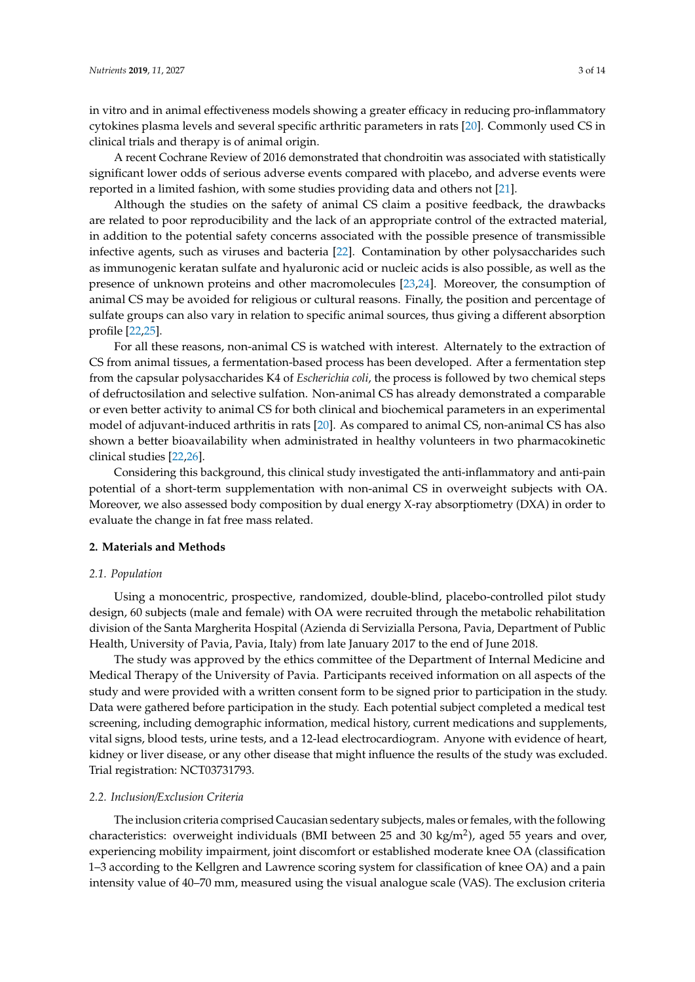in vitro and in animal effectiveness models showing a greater efficacy in reducing pro-inflammatory cytokines plasma levels and several specific arthritic parameters in rats [\[20\]](#page-12-14). Commonly used CS in clinical trials and therapy is of animal origin.

A recent Cochrane Review of 2016 demonstrated that chondroitin was associated with statistically significant lower odds of serious adverse events compared with placebo, and adverse events were reported in a limited fashion, with some studies providing data and others not [\[21\]](#page-12-15).

Although the studies on the safety of animal CS claim a positive feedback, the drawbacks are related to poor reproducibility and the lack of an appropriate control of the extracted material, in addition to the potential safety concerns associated with the possible presence of transmissible infective agents, such as viruses and bacteria [\[22\]](#page-12-16). Contamination by other polysaccharides such as immunogenic keratan sulfate and hyaluronic acid or nucleic acids is also possible, as well as the presence of unknown proteins and other macromolecules [\[23](#page-12-17)[,24\]](#page-12-18). Moreover, the consumption of animal CS may be avoided for religious or cultural reasons. Finally, the position and percentage of sulfate groups can also vary in relation to specific animal sources, thus giving a different absorption profile [\[22](#page-12-16)[,25\]](#page-13-0).

For all these reasons, non-animal CS is watched with interest. Alternately to the extraction of CS from animal tissues, a fermentation-based process has been developed. After a fermentation step from the capsular polysaccharides K4 of *Escherichia coli*, the process is followed by two chemical steps of defructosilation and selective sulfation. Non-animal CS has already demonstrated a comparable or even better activity to animal CS for both clinical and biochemical parameters in an experimental model of adjuvant-induced arthritis in rats [\[20\]](#page-12-14). As compared to animal CS, non-animal CS has also shown a better bioavailability when administrated in healthy volunteers in two pharmacokinetic clinical studies [\[22](#page-12-16)[,26\]](#page-13-1).

Considering this background, this clinical study investigated the anti-inflammatory and anti-pain potential of a short-term supplementation with non-animal CS in overweight subjects with OA. Moreover, we also assessed body composition by dual energy X-ray absorptiometry (DXA) in order to evaluate the change in fat free mass related.

#### **2. Materials and Methods**

#### *2.1. Population*

Using a monocentric, prospective, randomized, double-blind, placebo-controlled pilot study design, 60 subjects (male and female) with OA were recruited through the metabolic rehabilitation division of the Santa Margherita Hospital (Azienda di Servizialla Persona, Pavia, Department of Public Health, University of Pavia, Pavia, Italy) from late January 2017 to the end of June 2018.

The study was approved by the ethics committee of the Department of Internal Medicine and Medical Therapy of the University of Pavia. Participants received information on all aspects of the study and were provided with a written consent form to be signed prior to participation in the study. Data were gathered before participation in the study. Each potential subject completed a medical test screening, including demographic information, medical history, current medications and supplements, vital signs, blood tests, urine tests, and a 12-lead electrocardiogram. Anyone with evidence of heart, kidney or liver disease, or any other disease that might influence the results of the study was excluded. Trial registration: NCT03731793.

## *2.2. Inclusion*/*Exclusion Criteria*

The inclusion criteria comprised Caucasian sedentary subjects, males or females, with the following characteristics: overweight individuals (BMI between 25 and 30 kg/m<sup>2</sup>), aged 55 years and over, experiencing mobility impairment, joint discomfort or established moderate knee OA (classification 1–3 according to the Kellgren and Lawrence scoring system for classification of knee OA) and a pain intensity value of 40–70 mm, measured using the visual analogue scale (VAS). The exclusion criteria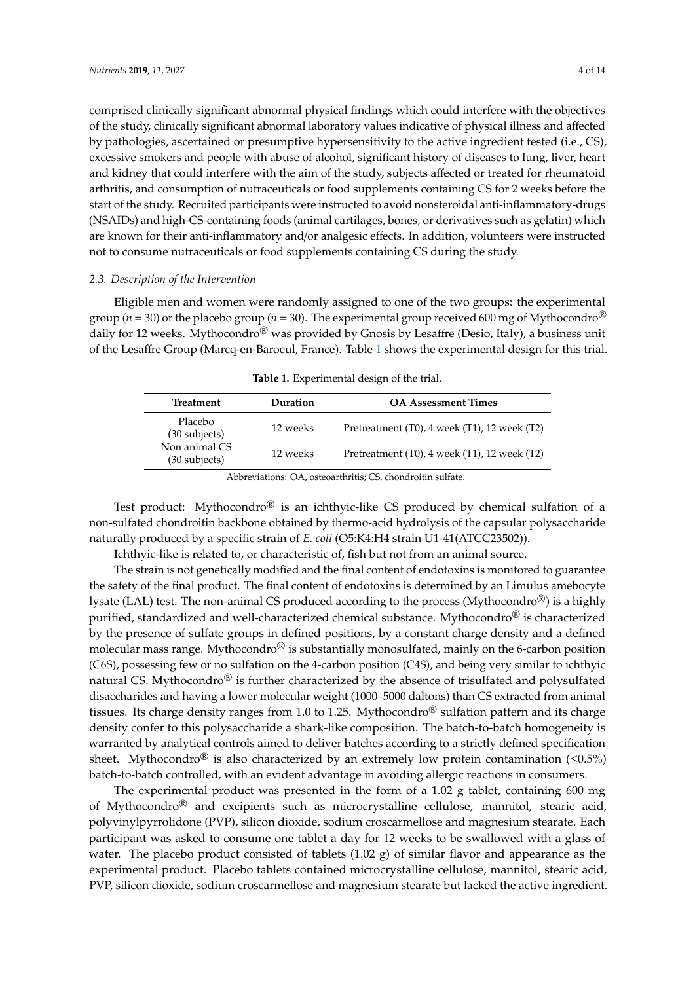comprised clinically significant abnormal physical findings which could interfere with the objectives of the study, clinically significant abnormal laboratory values indicative of physical illness and affected by pathologies, ascertained or presumptive hypersensitivity to the active ingredient tested (i.e., CS), excessive smokers and people with abuse of alcohol, significant history of diseases to lung, liver, heart and kidney that could interfere with the aim of the study, subjects affected or treated for rheumatoid arthritis, and consumption of nutraceuticals or food supplements containing CS for 2 weeks before the start of the study. Recruited participants were instructed to avoid nonsteroidal anti-inflammatory-drugs (NSAIDs) and high-CS-containing foods (animal cartilages, bones, or derivatives such as gelatin) which are known for their anti-inflammatory and/or analgesic effects. In addition, volunteers were instructed not to consume nutraceuticals or food supplements containing CS during the study.

# *2.3. Description of the Intervention*

Eligible men and women were randomly assigned to one of the two groups: the experimental group ( $n = 30$ ) or the placebo group ( $n = 30$ ). The experimental group received 600 mg of Mythocondro<sup>®</sup> daily for 12 weeks. Mythocondro<sup>®</sup> was provided by Gnosis by Lesaffre (Desio, Italy), a business unit of the Lesaffre Group (Marcq-en-Baroeul, France). Table [1](#page-3-0) shows the experimental design for this trial.

<span id="page-3-0"></span>

| Treatment                        | Duration | <b>OA Assessment Times</b>                           |
|----------------------------------|----------|------------------------------------------------------|
| Placebo<br>$(30$ subjects)       | 12 weeks | Pretreatment $(T0)$ , 4 week $(T1)$ , 12 week $(T2)$ |
| Non animal CS<br>$(30$ subjects) | 12 weeks | Pretreatment $(T0)$ , 4 week $(T1)$ , 12 week $(T2)$ |

|  | Table 1. Experimental design of the trial. |  |  |  |
|--|--------------------------------------------|--|--|--|
|--|--------------------------------------------|--|--|--|

Abbreviations: OA, osteoarthritis; CS, chondroitin sulfate.

Test product: Mythocondro<sup>®</sup> is an ichthyic-like CS produced by chemical sulfation of a non-sulfated chondroitin backbone obtained by thermo-acid hydrolysis of the capsular polysaccharide naturally produced by a specific strain of *E. coli* (O5:K4:H4 strain U1-41(ATCC23502)).

Ichthyic-like is related to, or characteristic of, fish but not from an animal source.

The strain is not genetically modified and the final content of endotoxins is monitored to guarantee the safety of the final product. The final content of endotoxins is determined by an Limulus amebocyte lysate (LAL) test. The non-animal CS produced according to the process (Mythocondro<sup>®</sup>) is a highly purified, standardized and well-characterized chemical substance. Mythocondro<sup>®</sup> is characterized by the presence of sulfate groups in defined positions, by a constant charge density and a defined molecular mass range. Mythocondro $\mathcal{B}$  is substantially monosulfated, mainly on the 6-carbon position (C6S), possessing few or no sulfation on the 4-carbon position (C4S), and being very similar to ichthyic natural CS. Mythocondro<sup>®</sup> is further characterized by the absence of trisulfated and polysulfated disaccharides and having a lower molecular weight (1000–5000 daltons) than CS extracted from animal tissues. Its charge density ranges from 1.0 to 1.25. Mythocondro $\mathcal{D}$  sulfation pattern and its charge density confer to this polysaccharide a shark-like composition. The batch-to-batch homogeneity is warranted by analytical controls aimed to deliver batches according to a strictly defined specification sheet. Mythocondro<sup>®</sup> is also characterized by an extremely low protein contamination ( $\leq 0.5\%$ ) batch-to-batch controlled, with an evident advantage in avoiding allergic reactions in consumers.

The experimental product was presented in the form of a 1.02 g tablet, containing 600 mg of Mythocondro® and excipients such as microcrystalline cellulose, mannitol, stearic acid, polyvinylpyrrolidone (PVP), silicon dioxide, sodium croscarmellose and magnesium stearate. Each participant was asked to consume one tablet a day for 12 weeks to be swallowed with a glass of water. The placebo product consisted of tablets  $(1.02 \text{ g})$  of similar flavor and appearance as the experimental product. Placebo tablets contained microcrystalline cellulose, mannitol, stearic acid, PVP, silicon dioxide, sodium croscarmellose and magnesium stearate but lacked the active ingredient.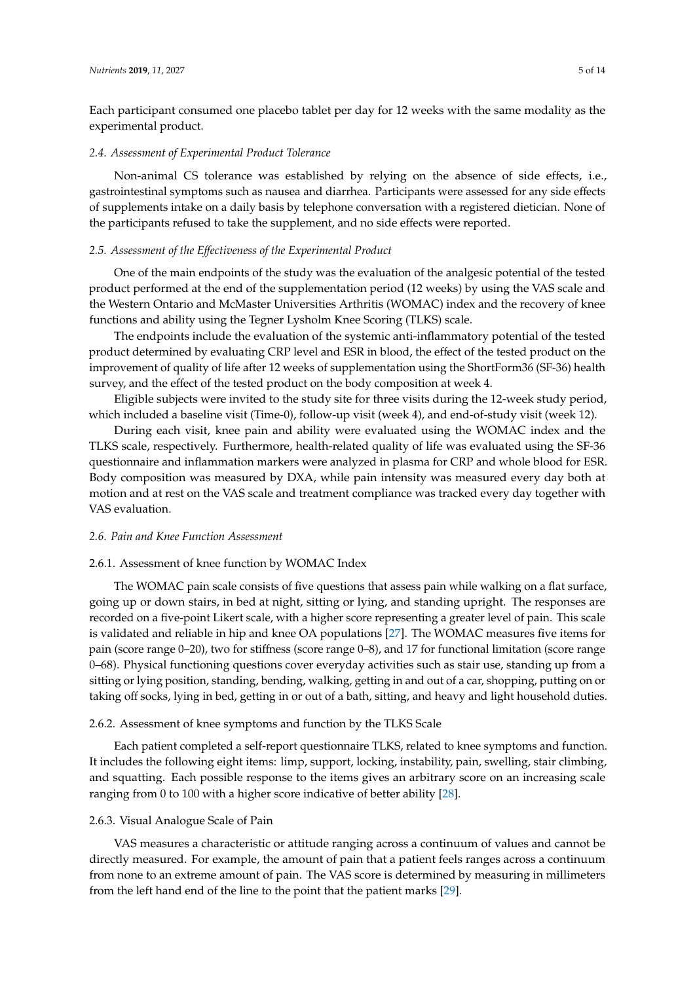Each participant consumed one placebo tablet per day for 12 weeks with the same modality as the experimental product.

### *2.4. Assessment of Experimental Product Tolerance*

Non-animal CS tolerance was established by relying on the absence of side effects, i.e., gastrointestinal symptoms such as nausea and diarrhea. Participants were assessed for any side effects of supplements intake on a daily basis by telephone conversation with a registered dietician. None of the participants refused to take the supplement, and no side effects were reported.

## *2.5. Assessment of the E*ff*ectiveness of the Experimental Product*

One of the main endpoints of the study was the evaluation of the analgesic potential of the tested product performed at the end of the supplementation period (12 weeks) by using the VAS scale and the Western Ontario and McMaster Universities Arthritis (WOMAC) index and the recovery of knee functions and ability using the Tegner Lysholm Knee Scoring (TLKS) scale.

The endpoints include the evaluation of the systemic anti-inflammatory potential of the tested product determined by evaluating CRP level and ESR in blood, the effect of the tested product on the improvement of quality of life after 12 weeks of supplementation using the ShortForm36 (SF-36) health survey, and the effect of the tested product on the body composition at week 4.

Eligible subjects were invited to the study site for three visits during the 12-week study period, which included a baseline visit (Time-0), follow-up visit (week 4), and end-of-study visit (week 12).

During each visit, knee pain and ability were evaluated using the WOMAC index and the TLKS scale, respectively. Furthermore, health-related quality of life was evaluated using the SF-36 questionnaire and inflammation markers were analyzed in plasma for CRP and whole blood for ESR. Body composition was measured by DXA, while pain intensity was measured every day both at motion and at rest on the VAS scale and treatment compliance was tracked every day together with VAS evaluation.

#### *2.6. Pain and Knee Function Assessment*

# 2.6.1. Assessment of knee function by WOMAC Index

The WOMAC pain scale consists of five questions that assess pain while walking on a flat surface, going up or down stairs, in bed at night, sitting or lying, and standing upright. The responses are recorded on a five-point Likert scale, with a higher score representing a greater level of pain. This scale is validated and reliable in hip and knee OA populations [\[27\]](#page-13-2). The WOMAC measures five items for pain (score range 0–20), two for stiffness (score range 0–8), and 17 for functional limitation (score range 0–68). Physical functioning questions cover everyday activities such as stair use, standing up from a sitting or lying position, standing, bending, walking, getting in and out of a car, shopping, putting on or taking off socks, lying in bed, getting in or out of a bath, sitting, and heavy and light household duties.

# 2.6.2. Assessment of knee symptoms and function by the TLKS Scale

Each patient completed a self-report questionnaire TLKS, related to knee symptoms and function. It includes the following eight items: limp, support, locking, instability, pain, swelling, stair climbing, and squatting. Each possible response to the items gives an arbitrary score on an increasing scale ranging from 0 to 100 with a higher score indicative of better ability [\[28\]](#page-13-3).

# 2.6.3. Visual Analogue Scale of Pain

VAS measures a characteristic or attitude ranging across a continuum of values and cannot be directly measured. For example, the amount of pain that a patient feels ranges across a continuum from none to an extreme amount of pain. The VAS score is determined by measuring in millimeters from the left hand end of the line to the point that the patient marks [\[29\]](#page-13-4).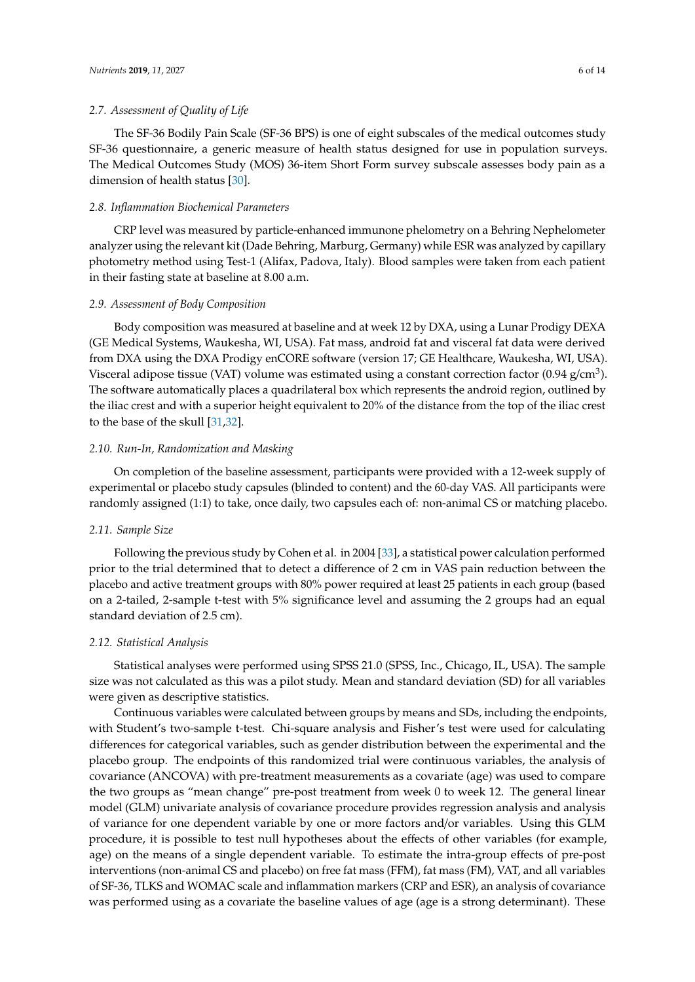# *2.7. Assessment of Quality of Life*

The SF-36 Bodily Pain Scale (SF-36 BPS) is one of eight subscales of the medical outcomes study SF-36 questionnaire, a generic measure of health status designed for use in population surveys. The Medical Outcomes Study (MOS) 36-item Short Form survey subscale assesses body pain as a dimension of health status [\[30\]](#page-13-5).

#### *2.8. Inflammation Biochemical Parameters*

CRP level was measured by particle-enhanced immunone phelometry on a Behring Nephelometer analyzer using the relevant kit (Dade Behring, Marburg, Germany) while ESR was analyzed by capillary photometry method using Test-1 (Alifax, Padova, Italy). Blood samples were taken from each patient in their fasting state at baseline at 8.00 a.m.

#### *2.9. Assessment of Body Composition*

Body composition was measured at baseline and at week 12 by DXA, using a Lunar Prodigy DEXA (GE Medical Systems, Waukesha, WI, USA). Fat mass, android fat and visceral fat data were derived from DXA using the DXA Prodigy enCORE software (version 17; GE Healthcare, Waukesha, WI, USA). Visceral adipose tissue (VAT) volume was estimated using a constant correction factor (0.94 g/cm<sup>3</sup>). The software automatically places a quadrilateral box which represents the android region, outlined by the iliac crest and with a superior height equivalent to 20% of the distance from the top of the iliac crest to the base of the skull [\[31](#page-13-6)[,32\]](#page-13-7).

#### *2.10. Run-In, Randomization and Masking*

On completion of the baseline assessment, participants were provided with a 12-week supply of experimental or placebo study capsules (blinded to content) and the 60-day VAS. All participants were randomly assigned (1:1) to take, once daily, two capsules each of: non-animal CS or matching placebo.

# *2.11. Sample Size*

Following the previous study by Cohen et al. in 2004 [\[33\]](#page-13-8), a statistical power calculation performed prior to the trial determined that to detect a difference of 2 cm in VAS pain reduction between the placebo and active treatment groups with 80% power required at least 25 patients in each group (based on a 2-tailed, 2-sample t-test with 5% significance level and assuming the 2 groups had an equal standard deviation of 2.5 cm).

#### *2.12. Statistical Analysis*

Statistical analyses were performed using SPSS 21.0 (SPSS, Inc., Chicago, IL, USA). The sample size was not calculated as this was a pilot study. Mean and standard deviation (SD) for all variables were given as descriptive statistics.

Continuous variables were calculated between groups by means and SDs, including the endpoints, with Student's two-sample t-test. Chi-square analysis and Fisher's test were used for calculating differences for categorical variables, such as gender distribution between the experimental and the placebo group. The endpoints of this randomized trial were continuous variables, the analysis of covariance (ANCOVA) with pre-treatment measurements as a covariate (age) was used to compare the two groups as "mean change" pre-post treatment from week 0 to week 12. The general linear model (GLM) univariate analysis of covariance procedure provides regression analysis and analysis of variance for one dependent variable by one or more factors and/or variables. Using this GLM procedure, it is possible to test null hypotheses about the effects of other variables (for example, age) on the means of a single dependent variable. To estimate the intra-group effects of pre-post interventions (non-animal CS and placebo) on free fat mass (FFM), fat mass (FM), VAT, and all variables of SF-36, TLKS and WOMAC scale and inflammation markers (CRP and ESR), an analysis of covariance was performed using as a covariate the baseline values of age (age is a strong determinant). These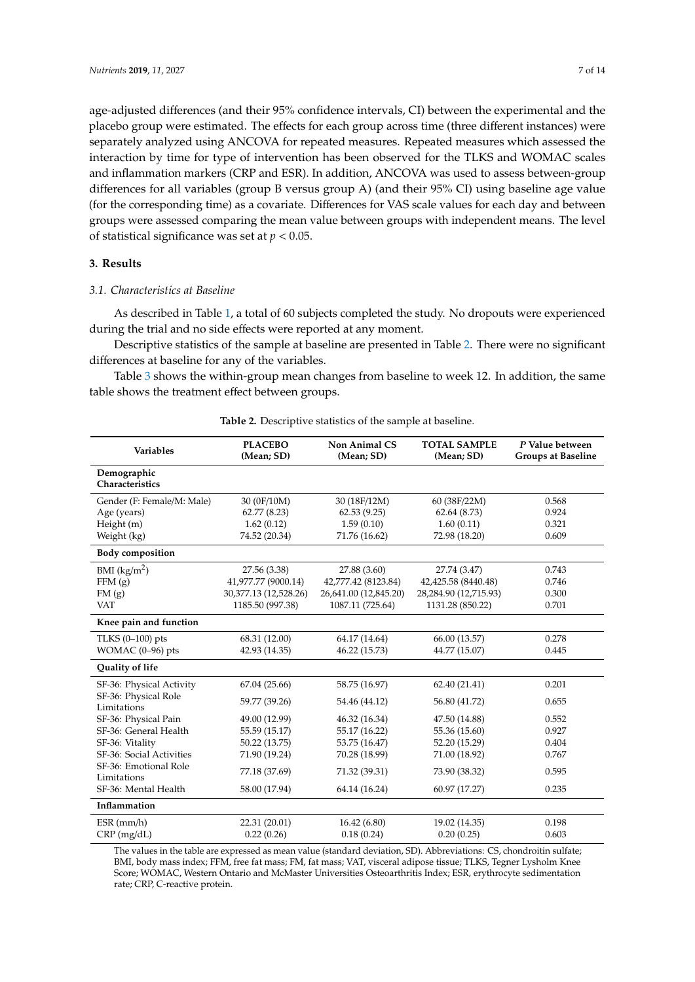age-adjusted differences (and their 95% confidence intervals, CI) between the experimental and the placebo group were estimated. The effects for each group across time (three different instances) were separately analyzed using ANCOVA for repeated measures. Repeated measures which assessed the interaction by time for type of intervention has been observed for the TLKS and WOMAC scales and inflammation markers (CRP and ESR). In addition, ANCOVA was used to assess between-group differences for all variables (group B versus group A) (and their 95% CI) using baseline age value (for the corresponding time) as a covariate. Differences for VAS scale values for each day and between groups were assessed comparing the mean value between groups with independent means. The level of statistical significance was set at *p* < 0.05.

# **3. Results**

# *3.1. Characteristics at Baseline*

As described in Table [1,](#page-3-0) a total of 60 subjects completed the study. No dropouts were experienced during the trial and no side effects were reported at any moment.

Descriptive statistics of the sample at baseline are presented in Table [2.](#page-6-0) There were no significant differences at baseline for any of the variables.

Table [3](#page-7-0) shows the within-group mean changes from baseline to week 12. In addition, the same table shows the treatment effect between groups.

<span id="page-6-0"></span>

| <b>Variables</b>                     | <b>PLACEBO</b><br>(Mean; SD) | <b>Non Animal CS</b><br>(Mean; SD) | <b>TOTAL SAMPLE</b><br>(Mean; SD) | P Value between<br><b>Groups at Baseline</b> |
|--------------------------------------|------------------------------|------------------------------------|-----------------------------------|----------------------------------------------|
| Demographic<br>Characteristics       |                              |                                    |                                   |                                              |
| Gender (F: Female/M: Male)           | 30 (0F/10M)                  | 30 (18F/12M)                       | 60 (38F/22M)                      | 0.568                                        |
| Age (years)                          | 62.77(8.23)                  | 62.53(9.25)                        | 62.64(8.73)                       | 0.924                                        |
| Height (m)                           | 1.62(0.12)                   | 1.59(0.10)                         | 1.60(0.11)                        | 0.321                                        |
| Weight (kg)                          | 74.52 (20.34)                | 71.76 (16.62)                      | 72.98 (18.20)                     | 0.609                                        |
| <b>Body composition</b>              |                              |                                    |                                   |                                              |
| BMI $(kg/m2)$                        | 27.56 (3.38)                 | 27.88 (3.60)                       | 27.74 (3.47)                      | 0.743                                        |
| FFM(g)                               | 41,977.77 (9000.14)          | 42,777.42 (8123.84)                | 42,425.58 (8440.48)               | 0.746                                        |
| FM(g)                                | 30,377.13 (12,528.26)        | 26,641.00 (12,845.20)              | 28,284.90 (12,715.93)             | 0.300                                        |
| <b>VAT</b>                           | 1185.50 (997.38)             | 1087.11 (725.64)                   | 1131.28 (850.22)                  | 0.701                                        |
| Knee pain and function               |                              |                                    |                                   |                                              |
| TLKS $(0-100)$ pts                   | 68.31 (12.00)                | 64.17 (14.64)                      | 66.00 (13.57)                     | 0.278                                        |
| WOMAC $(0-96)$ pts                   | 42.93 (14.35)                | 46.22 (15.73)                      | 44.77 (15.07)                     | 0.445                                        |
| Quality of life                      |                              |                                    |                                   |                                              |
| SF-36: Physical Activity             | 67.04 (25.66)                | 58.75 (16.97)                      | 62.40 (21.41)                     | 0.201                                        |
| SF-36: Physical Role<br>Limitations  | 59.77 (39.26)                | 54.46 (44.12)                      | 56.80 (41.72)                     | 0.655                                        |
| SF-36: Physical Pain                 | 49.00 (12.99)                | 46.32 (16.34)                      | 47.50 (14.88)                     | 0.552                                        |
| SF-36: General Health                | 55.59 (15.17)                | 55.17 (16.22)                      | 55.36 (15.60)                     | 0.927                                        |
| SF-36: Vitality                      | 50.22 (13.75)                | 53.75 (16.47)                      | 52.20 (15.29)                     | 0.404                                        |
| SF-36: Social Activities             | 71.90 (19.24)                | 70.28 (18.99)                      | 71.00 (18.92)                     | 0.767                                        |
| SF-36: Emotional Role<br>Limitations | 77.18 (37.69)                | 71.32 (39.31)                      | 73.90 (38.32)                     | 0.595                                        |
| SF-36: Mental Health                 | 58.00 (17.94)                | 64.14 (16.24)                      | 60.97 (17.27)                     | 0.235                                        |
| Inflammation                         |                              |                                    |                                   |                                              |
| $ESR$ (mm/h)                         | 22.31 (20.01)                | 16.42 (6.80)                       | 19.02 (14.35)                     | 0.198                                        |
| $CRP$ (mg/dL)                        | 0.22(0.26)                   | 0.18(0.24)                         | 0.20(0.25)                        | 0.603                                        |

**Table 2.** Descriptive statistics of the sample at baseline.

The values in the table are expressed as mean value (standard deviation, SD). Abbreviations: CS, chondroitin sulfate; BMI, body mass index; FFM, free fat mass; FM, fat mass; VAT, visceral adipose tissue; TLKS, Tegner Lysholm Knee Score; WOMAC, Western Ontario and McMaster Universities Osteoarthritis Index; ESR, erythrocyte sedimentation rate; CRP, C-reactive protein.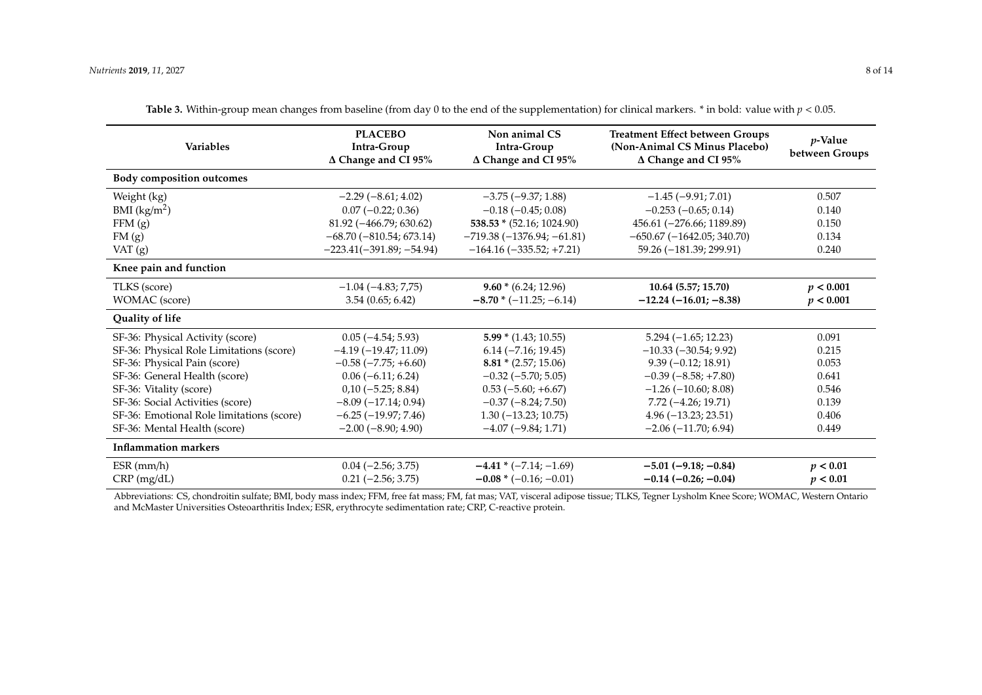| <b>Variables</b>                          | <b>PLACEBO</b><br>Intra-Group<br>$\Delta$ Change and CI 95% | Non animal CS<br>Intra-Group<br>$\Delta$ Change and CI 95% | <b>Treatment Effect between Groups</b><br>(Non-Animal CS Minus Placebo)<br>$\Delta$ Change and CI 95% | $p$ -Value<br>between Groups |
|-------------------------------------------|-------------------------------------------------------------|------------------------------------------------------------|-------------------------------------------------------------------------------------------------------|------------------------------|
| <b>Body composition outcomes</b>          |                                                             |                                                            |                                                                                                       |                              |
| Weight (kg)                               | $-2.29(-8.61; 4.02)$                                        | $-3.75(-9.37; 1.88)$                                       | $-1.45$ ( $-9.91$ ; 7.01)                                                                             | 0.507                        |
| BMI $(kg/m2)$                             | $0.07 (-0.22; 0.36)$                                        | $-0.18$ ( $-0.45$ ; 0.08)                                  | $-0.253(-0.65; 0.14)$                                                                                 | 0.140                        |
| FFM(g)                                    | $81.92 (-466.79; 630.62)$                                   | $538.53 * (52.16; 1024.90)$                                | $456.61 (-276.66; 1189.89)$                                                                           | 0.150                        |
| FM(g)                                     | $-68.70(-810.54; 673.14)$                                   | $-719.38(-1376.94; -61.81)$                                | $-650.67$ ( $-1642.05$ ; 340.70)                                                                      | 0.134                        |
| VAT $(g)$                                 | $-223.41(-391.89; -54.94)$                                  | $-164.16$ $(-335.52; +7.21)$                               | 59.26 (-181.39; 299.91)                                                                               | 0.240                        |
| Knee pain and function                    |                                                             |                                                            |                                                                                                       |                              |
| TLKS (score)                              | $-1.04(-4.83; 7.75)$                                        | $9.60 * (6.24; 12.96)$                                     | 10.64 (5.57; 15.70)                                                                                   | p < 0.001                    |
| WOMAC (score)                             | 3.54(0.65; 6.42)                                            | $-8.70*(-11.25;-6.14)$                                     | $-12.24 (-16.01; -8.38)$                                                                              | p < 0.001                    |
| Quality of life                           |                                                             |                                                            |                                                                                                       |                              |
| SF-36: Physical Activity (score)          | $0.05(-4.54; 5.93)$                                         | $5.99 * (1.43; 10.55)$                                     | $5.294 (-1.65; 12.23)$                                                                                | 0.091                        |
| SF-36: Physical Role Limitations (score)  | $-4.19(-19.47; 11.09)$                                      | $6.14 (-7.16; 19.45)$                                      | $-10.33(-30.54; 9.92)$                                                                                | 0.215                        |
| SF-36: Physical Pain (score)              | $-0.58$ ( $-7.75$ ; $+6.60$ )                               | $8.81 * (2.57; 15.06)$                                     | $9.39(-0.12; 18.91)$                                                                                  | 0.053                        |
| SF-36: General Health (score)             | $0.06(-6.11; 6.24)$                                         | $-0.32$ ( $-5.70$ ; 5.05)                                  | $-0.39(-8.58; +7.80)$                                                                                 | 0.641                        |
| SF-36: Vitality (score)                   | $0,10(-5.25; 8.84)$                                         | $0.53(-5.60; +6.67)$                                       | $-1.26$ ( $-10.60$ ; 8.08)                                                                            | 0.546                        |
| SF-36: Social Activities (score)          | $-8.09(-17.14; 0.94)$                                       | $-0.37(-8.24; 7.50)$                                       | $7.72(-4.26; 19.71)$                                                                                  | 0.139                        |
| SF-36: Emotional Role limitations (score) | $-6.25(-19.97; 7.46)$                                       | $1.30(-13.23; 10.75)$                                      | $4.96(-13.23; 23.51)$                                                                                 | 0.406                        |
| SF-36: Mental Health (score)              | $-2.00(-8.90; 4.90)$                                        | $-4.07$ ( $-9.84$ ; 1.71)                                  | $-2.06$ ( $-11.70$ ; 6.94)                                                                            | 0.449                        |
| <b>Inflammation markers</b>               |                                                             |                                                            |                                                                                                       |                              |
| $ESR$ (mm/h)                              | $0.04 (-2.56; 3.75)$                                        | $-4.41*(-7.14;-1.69)$                                      | $-5.01$ ( $-9.18$ ; $-0.84$ )                                                                         | p < 0.01                     |
| $CRP$ (mg/dL)                             | $0.21 (-2.56; 3.75)$                                        | $-0.08*(-0.16;-0.01)$                                      | $-0.14$ $(-0.26; -0.04)$                                                                              | p < 0.01                     |

**Table 3.** Within-group mean changes from baseline (from day 0 to the end of the supplementation) for clinical markers. \* in bold: value with  $p < 0.05$ .

<span id="page-7-0"></span>Abbreviations: CS, chondroitin sulfate; BMI, body mass index; FFM, free fat mass; FM, fat mas; VAT, visceral adipose tissue; TLKS, Tegner Lysholm Knee Score; WOMAC, Western Ontario and McMaster Universities Osteoarthritis Index; ESR, erythrocyte sedimentation rate; CRP, C-reactive protein.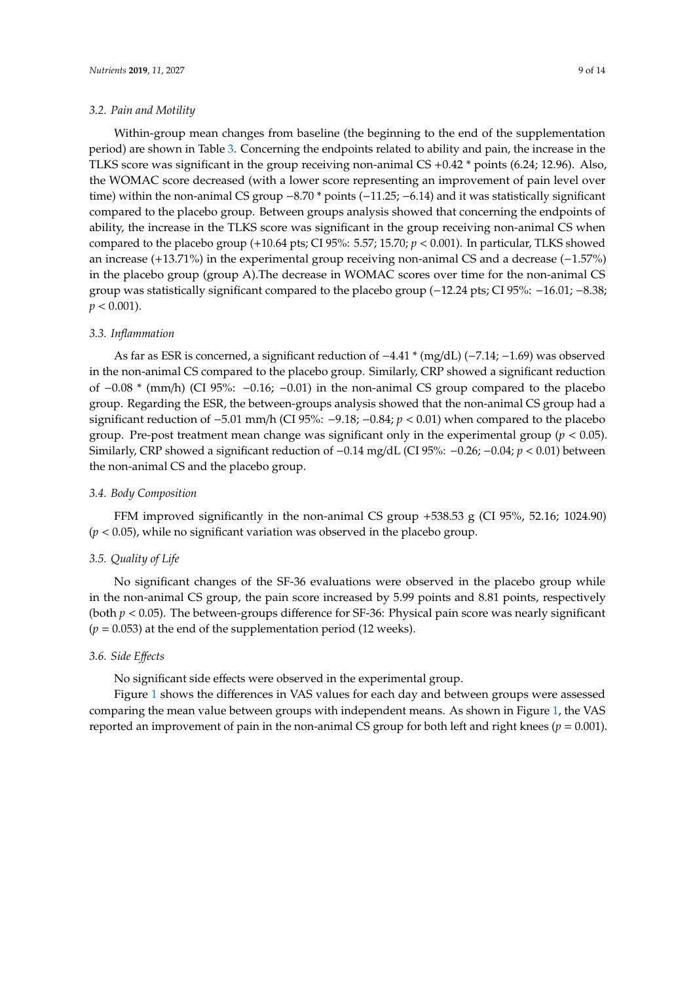#### *3.2. Pain and Motility*

Within-group mean changes from baseline (the beginning to the end of the supplementation period) are shown in Table [3.](#page-7-0) Concerning the endpoints related to ability and pain, the increase in the TLKS score was significant in the group receiving non-animal CS +0.42 \* points (6.24; 12.96). Also, the WOMAC score decreased (with a lower score representing an improvement of pain level over time) within the non-animal CS group −8.70 \* points (−11.25; −6.14) and it was statistically significant compared to the placebo group. Between groups analysis showed that concerning the endpoints of ability, the increase in the TLKS score was significant in the group receiving non-animal CS when compared to the placebo group (+10.64 pts; CI 95%: 5.57; 15.70;  $p < 0.001$ ). In particular, TLKS showed an increase (+13.71%) in the experimental group receiving non-animal CS and a decrease (−1.57%) in the placebo group (group A).The decrease in WOMAC scores over time for the non-animal CS group was statistically significant compared to the placebo group (−12.24 pts; CI 95%: −16.01; −8.38;  $p < 0.001$ ).

#### *3.3. Inflammation*

As far as ESR is concerned, a significant reduction of −4.41 \* (mg/dL) (−7.14; −1.69) was observed in the non-animal CS compared to the placebo group. Similarly, CRP showed a significant reduction of −0.08 \* (mm/h) (CI 95%: −0.16; −0.01) in the non-animal CS group compared to the placebo group. Regarding the ESR, the between-groups analysis showed that the non-animal CS group had a significant reduction of −5.01 mm/h (CI 95%: −9.18; −0.84; *p* < 0.01) when compared to the placebo group. Pre-post treatment mean change was significant only in the experimental group ( $p < 0.05$ ). Similarly, CRP showed a significant reduction of −0.14 mg/dL (CI 95%: −0.26; −0.04; *p* < 0.01) between the non-animal CS and the placebo group.

## *3.4. Body Composition*

FFM improved significantly in the non-animal CS group  $+538.53$  g (CI 95%, 52.16; 1024.90) (*p* < 0.05), while no significant variation was observed in the placebo group.

# *3.5. Quality of Life*

No significant changes of the SF-36 evaluations were observed in the placebo group while in the non-animal CS group, the pain score increased by 5.99 points and 8.81 points, respectively (both *p* < 0.05). The between-groups difference for SF-36: Physical pain score was nearly significant  $(p = 0.053)$  at the end of the supplementation period (12 weeks).

# *3.6. Side E*ff*ects*

No significant side effects were observed in the experimental group.

Figure [1](#page-9-0) shows the differences in VAS values for each day and between groups were assessed comparing the mean value between groups with independent means. As shown in Figure [1,](#page-9-0) the VAS reported an improvement of pain in the non-animal CS group for both left and right knees (*p* = 0.001).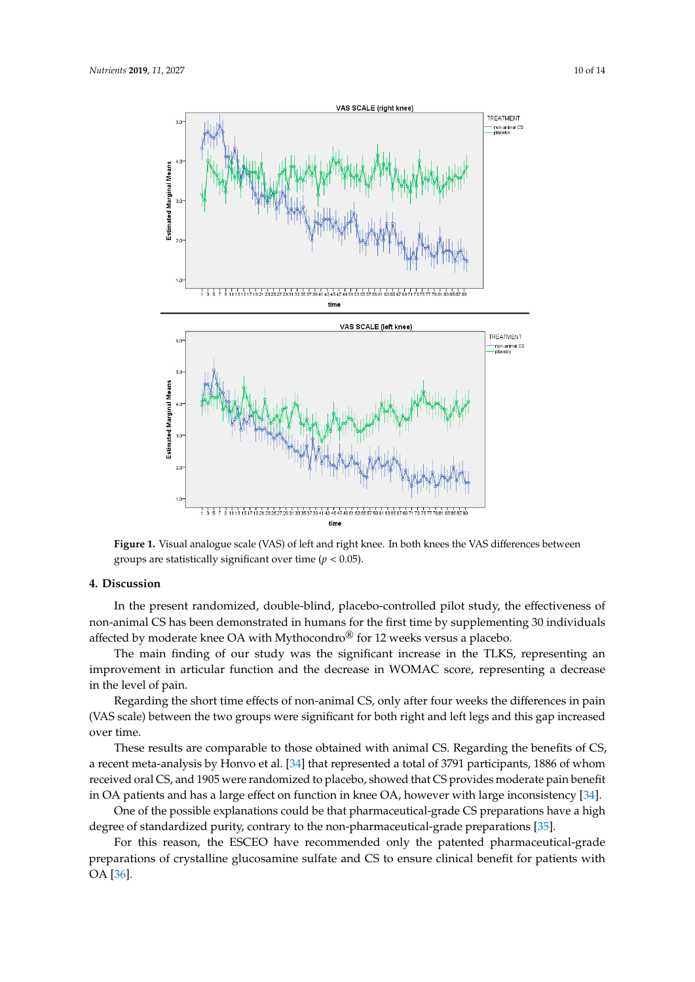<span id="page-9-0"></span>

**Figure 1.** Visual analogue scale (VAS) of left and right knee. In both knees the VAS differences **Figure 1.** Visual analogue scale (VAS) of left and right knee. In both knees the VAS differences between groups are statistically significant over time ( $p < 0.05$ ).

# **4. Discussion 4. Discussion**

In the present randomized, double-blind, placebo-controlled pilot study, the effectiveness of In the present randomized, double-blind, placebo-controlled pilot study, the effectiveness of non-animal CS has been demonstrated in humans for the first time by supplementing 30 individuals non-animal CS has been demonstrated in humans for the first time by supplementing 30 individuals affected by moderate knee OA with Mythocondro® for 12 weeks versus a placebo. affected by moderate knee OA with Mythocondro® for 12 weeks versus a placebo.

The main finding of our study was the significant increase in the TLKS, representing an The main finding of our study was the significant increase in the TLKS, representing an improvement in articular function and the decrease in WOMAC score, representing a decrease in the level of pain.

Regarding the short time effects of non-animal CS, only after four weeks the differences in pain Regarding the short time effects of non-animal CS, only after four weeks the differences in pain (VAS scale) between the two groups were significant for both right and left legs and this gap (VAS scale) between the two groups were significant for both right and left legs and this gap increased over time.

These results are comparable to those obtained with animal CS. Regarding the benefits of CS, recent meta-analysis by Honvo et al. [34] that represented a total of 3791 participants, 1886 of whom a recent meta-analysis by Honvo et al. [\[34\]](#page-13-9) that represented a total of 3791 participants, 1886 of whom received oral CS, and 1905 were randomized to placebo, showed that CS provides moderate pain received oral CS, and 1905 were randomized to placebo, showed that CS provides moderate pain benefit in OA patients and has a large effect on function in knee OA, however with large inconsistency [\[34\]](#page-13-9).

One of the possible explanations could be that pharmaceutical-grade CS preparations have a high degree of standardized purity, contrary to the non-pharmaceutical-grade preparations [\[35\]](#page-13-10).

For this reason, the ESCEO have recommended only the patented pharmaceutical-grade preparations of crystalline glucosamine sulfate and CS to ensure clinical benefit for patients with  $\mathcal{P}$  present glucosamine glucosamine sulfate and  $\mathcal{P}$  to ensure clinical benefit for patients with OA to ensure clinical benefit for patients with OA to ensure clinical benefit for patients with OA to ensure clini OA [\[36\]](#page-13-11).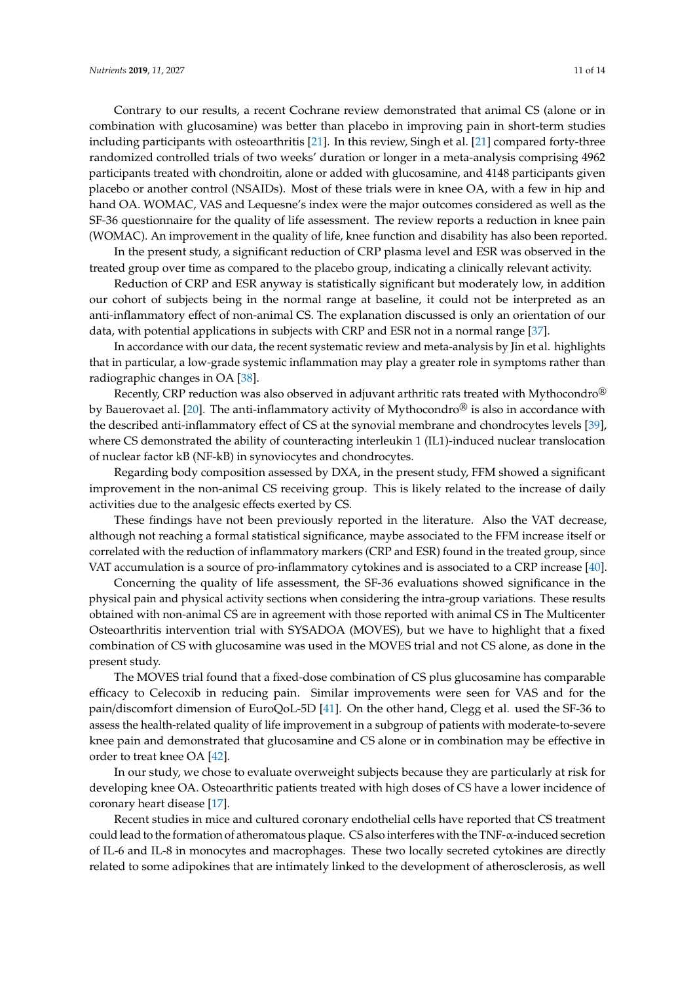Contrary to our results, a recent Cochrane review demonstrated that animal CS (alone or in combination with glucosamine) was better than placebo in improving pain in short-term studies including participants with osteoarthritis [\[21\]](#page-12-15). In this review, Singh et al. [\[21\]](#page-12-15) compared forty-three randomized controlled trials of two weeks' duration or longer in a meta-analysis comprising 4962 participants treated with chondroitin, alone or added with glucosamine, and 4148 participants given placebo or another control (NSAIDs). Most of these trials were in knee OA, with a few in hip and hand OA. WOMAC, VAS and Lequesne's index were the major outcomes considered as well as the SF-36 questionnaire for the quality of life assessment. The review reports a reduction in knee pain (WOMAC). An improvement in the quality of life, knee function and disability has also been reported.

In the present study, a significant reduction of CRP plasma level and ESR was observed in the treated group over time as compared to the placebo group, indicating a clinically relevant activity.

Reduction of CRP and ESR anyway is statistically significant but moderately low, in addition our cohort of subjects being in the normal range at baseline, it could not be interpreted as an anti-inflammatory effect of non-animal CS. The explanation discussed is only an orientation of our data, with potential applications in subjects with CRP and ESR not in a normal range [\[37\]](#page-13-12).

In accordance with our data, the recent systematic review and meta-analysis by Jin et al. highlights that in particular, a low-grade systemic inflammation may play a greater role in symptoms rather than radiographic changes in OA [\[38\]](#page-13-13).

Recently, CRP reduction was also observed in adjuvant arthritic rats treated with Mythocondro<sup>®</sup> by Bauerovaet al. [\[20\]](#page-12-14). The anti-inflammatory activity of Mythocondro<sup>®</sup> is also in accordance with the described anti-inflammatory effect of CS at the synovial membrane and chondrocytes levels [\[39\]](#page-13-14), where CS demonstrated the ability of counteracting interleukin 1 (IL1)-induced nuclear translocation of nuclear factor kB (NF-kB) in synoviocytes and chondrocytes.

Regarding body composition assessed by DXA, in the present study, FFM showed a significant improvement in the non-animal CS receiving group. This is likely related to the increase of daily activities due to the analgesic effects exerted by CS.

These findings have not been previously reported in the literature. Also the VAT decrease, although not reaching a formal statistical significance, maybe associated to the FFM increase itself or correlated with the reduction of inflammatory markers (CRP and ESR) found in the treated group, since VAT accumulation is a source of pro-inflammatory cytokines and is associated to a CRP increase [\[40\]](#page-13-15).

Concerning the quality of life assessment, the SF-36 evaluations showed significance in the physical pain and physical activity sections when considering the intra-group variations. These results obtained with non-animal CS are in agreement with those reported with animal CS in The Multicenter Osteoarthritis intervention trial with SYSADOA (MOVES), but we have to highlight that a fixed combination of CS with glucosamine was used in the MOVES trial and not CS alone, as done in the present study.

The MOVES trial found that a fixed-dose combination of CS plus glucosamine has comparable efficacy to Celecoxib in reducing pain. Similar improvements were seen for VAS and for the pain/discomfort dimension of EuroQoL-5D [\[41\]](#page-13-16). On the other hand, Clegg et al. used the SF-36 to assess the health-related quality of life improvement in a subgroup of patients with moderate-to-severe knee pain and demonstrated that glucosamine and CS alone or in combination may be effective in order to treat knee OA [\[42\]](#page-13-17).

In our study, we chose to evaluate overweight subjects because they are particularly at risk for developing knee OA. Osteoarthritic patients treated with high doses of CS have a lower incidence of coronary heart disease [\[17\]](#page-12-11).

Recent studies in mice and cultured coronary endothelial cells have reported that CS treatment could lead to the formation of atheromatous plaque. CS also interferes with the TNF-α-induced secretion of IL-6 and IL-8 in monocytes and macrophages. These two locally secreted cytokines are directly related to some adipokines that are intimately linked to the development of atherosclerosis, as well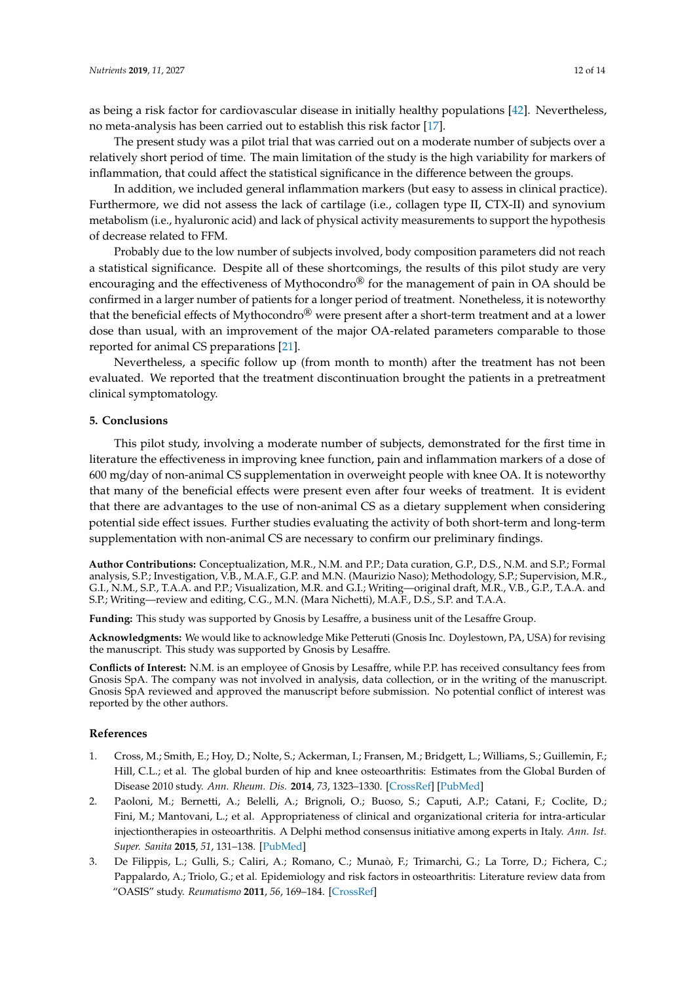as being a risk factor for cardiovascular disease in initially healthy populations [\[42\]](#page-13-17). Nevertheless, no meta-analysis has been carried out to establish this risk factor [\[17\]](#page-12-11).

The present study was a pilot trial that was carried out on a moderate number of subjects over a relatively short period of time. The main limitation of the study is the high variability for markers of inflammation, that could affect the statistical significance in the difference between the groups.

In addition, we included general inflammation markers (but easy to assess in clinical practice). Furthermore, we did not assess the lack of cartilage (i.e., collagen type II, CTX-II) and synovium metabolism (i.e., hyaluronic acid) and lack of physical activity measurements to support the hypothesis of decrease related to FFM.

Probably due to the low number of subjects involved, body composition parameters did not reach a statistical significance. Despite all of these shortcomings, the results of this pilot study are very encouraging and the effectiveness of Mythocondro $\mathcal{B}$  for the management of pain in OA should be confirmed in a larger number of patients for a longer period of treatment. Nonetheless, it is noteworthy that the beneficial effects of Mythocondro<sup>®</sup> were present after a short-term treatment and at a lower dose than usual, with an improvement of the major OA-related parameters comparable to those reported for animal CS preparations [\[21\]](#page-12-15).

Nevertheless, a specific follow up (from month to month) after the treatment has not been evaluated. We reported that the treatment discontinuation brought the patients in a pretreatment clinical symptomatology.

#### **5. Conclusions**

This pilot study, involving a moderate number of subjects, demonstrated for the first time in literature the effectiveness in improving knee function, pain and inflammation markers of a dose of 600 mg/day of non-animal CS supplementation in overweight people with knee OA. It is noteworthy that many of the beneficial effects were present even after four weeks of treatment. It is evident that there are advantages to the use of non-animal CS as a dietary supplement when considering potential side effect issues. Further studies evaluating the activity of both short-term and long-term supplementation with non-animal CS are necessary to confirm our preliminary findings.

**Author Contributions:** Conceptualization, M.R., N.M. and P.P.; Data curation, G.P., D.S., N.M. and S.P.; Formal analysis, S.P.; Investigation, V.B., M.A.F., G.P. and M.N. (Maurizio Naso); Methodology, S.P.; Supervision, M.R., G.I., N.M., S.P., T.A.A. and P.P.; Visualization, M.R. and G.I.; Writing—original draft, M.R., V.B., G.P., T.A.A. and S.P.; Writing—review and editing, C.G., M.N. (Mara Nichetti), M.A.F., D.S., S.P. and T.A.A.

**Funding:** This study was supported by Gnosis by Lesaffre, a business unit of the Lesaffre Group.

**Acknowledgments:** We would like to acknowledge Mike Petteruti (Gnosis Inc. Doylestown, PA, USA) for revising the manuscript. This study was supported by Gnosis by Lesaffre.

**Conflicts of Interest:** N.M. is an employee of Gnosis by Lesaffre, while P.P. has received consultancy fees from Gnosis SpA. The company was not involved in analysis, data collection, or in the writing of the manuscript. Gnosis SpA reviewed and approved the manuscript before submission. No potential conflict of interest was reported by the other authors.

# **References**

- <span id="page-11-0"></span>1. Cross, M.; Smith, E.; Hoy, D.; Nolte, S.; Ackerman, I.; Fransen, M.; Bridgett, L.; Williams, S.; Guillemin, F.; Hill, C.L.; et al. The global burden of hip and knee osteoarthritis: Estimates from the Global Burden of Disease 2010 study. *Ann. Rheum. Dis.* **2014**, *73*, 1323–1330. [\[CrossRef\]](http://dx.doi.org/10.1136/annrheumdis-2013-204763) [\[PubMed\]](http://www.ncbi.nlm.nih.gov/pubmed/24553908)
- <span id="page-11-1"></span>2. Paoloni, M.; Bernetti, A.; Belelli, A.; Brignoli, O.; Buoso, S.; Caputi, A.P.; Catani, F.; Coclite, D.; Fini, M.; Mantovani, L.; et al. Appropriateness of clinical and organizational criteria for intra-articular injectiontherapies in osteoarthritis. A Delphi method consensus initiative among experts in Italy. *Ann. Ist. Super. Sanita* **2015**, *51*, 131–138. [\[PubMed\]](http://www.ncbi.nlm.nih.gov/pubmed/26156184)
- <span id="page-11-2"></span>3. De Filippis, L.; Gulli, S.; Caliri, A.; Romano, C.; Munaò, F.; Trimarchi, G.; La Torre, D.; Fichera, C.; Pappalardo, A.; Triolo, G.; et al. Epidemiology and risk factors in osteoarthritis: Literature review data from "OASIS" study. *Reumatismo* **2011**, *56*, 169–184. [\[CrossRef\]](http://dx.doi.org/10.4081/reumatismo.2004.169)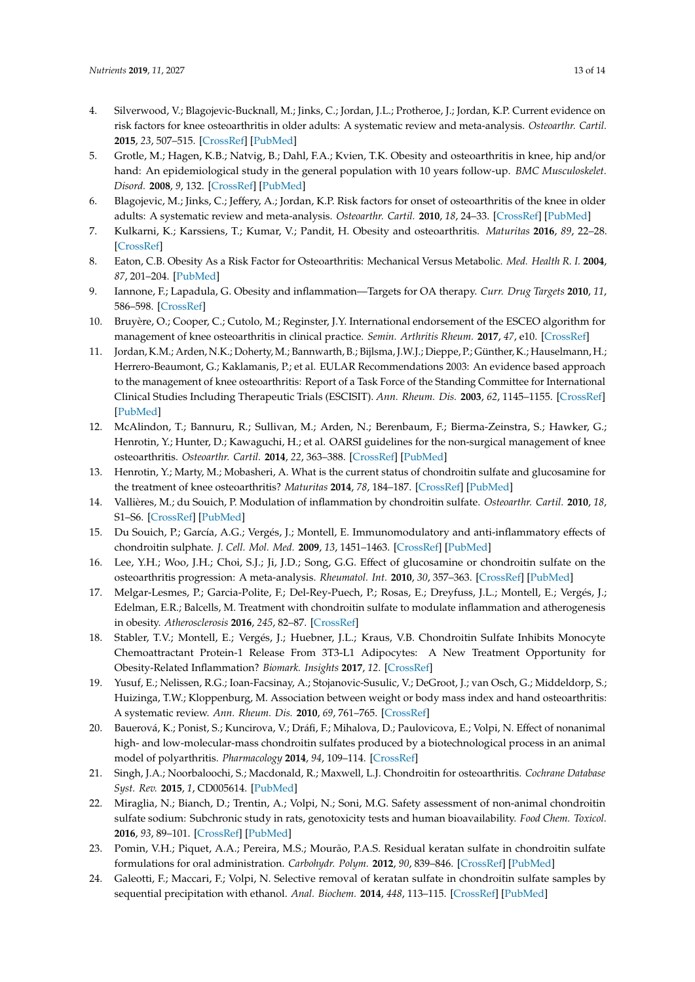- <span id="page-12-0"></span>4. Silverwood, V.; Blagojevic-Bucknall, M.; Jinks, C.; Jordan, J.L.; Protheroe, J.; Jordan, K.P. Current evidence on risk factors for knee osteoarthritis in older adults: A systematic review and meta-analysis. *Osteoarthr. Cartil.* **2015**, *23*, 507–515. [\[CrossRef\]](http://dx.doi.org/10.1016/j.joca.2014.11.019) [\[PubMed\]](http://www.ncbi.nlm.nih.gov/pubmed/25447976)
- 5. Grotle, M.; Hagen, K.B.; Natvig, B.; Dahl, F.A.; Kvien, T.K. Obesity and osteoarthritis in knee, hip and/or hand: An epidemiological study in the general population with 10 years follow-up. *BMC Musculoskelet. Disord.* **2008**, *9*, 132. [\[CrossRef\]](http://dx.doi.org/10.1186/1471-2474-9-132) [\[PubMed\]](http://www.ncbi.nlm.nih.gov/pubmed/18831740)
- <span id="page-12-1"></span>6. Blagojevic, M.; Jinks, C.; Jeffery, A.; Jordan, K.P. Risk factors for onset of osteoarthritis of the knee in older adults: A systematic review and meta-analysis. *Osteoarthr. Cartil.* **2010**, *18*, 24–33. [\[CrossRef\]](http://dx.doi.org/10.1016/j.joca.2009.08.010) [\[PubMed\]](http://www.ncbi.nlm.nih.gov/pubmed/19751691)
- <span id="page-12-2"></span>7. Kulkarni, K.; Karssiens, T.; Kumar, V.; Pandit, H. Obesity and osteoarthritis. *Maturitas* **2016**, *89*, 22–28. [\[CrossRef\]](http://dx.doi.org/10.1016/j.maturitas.2016.04.006)
- <span id="page-12-3"></span>8. Eaton, C.B. Obesity As a Risk Factor for Osteoarthritis: Mechanical Versus Metabolic. *Med. Health R. I.* **2004**, *87*, 201–204. [\[PubMed\]](http://www.ncbi.nlm.nih.gov/pubmed/15354794)
- <span id="page-12-4"></span>9. Iannone, F.; Lapadula, G. Obesity and inflammation—Targets for OA therapy. *Curr. Drug Targets* **2010**, *11*, 586–598. [\[CrossRef\]](http://dx.doi.org/10.2174/138945010791011857)
- <span id="page-12-5"></span>10. Bruyère, O.; Cooper, C.; Cutolo, M.; Reginster, J.Y. International endorsement of the ESCEO algorithm for management of knee osteoarthritis in clinical practice. *Semin. Arthritis Rheum.* **2017**, *47*, e10. [\[CrossRef\]](http://dx.doi.org/10.1016/j.semarthrit.2017.07.002)
- <span id="page-12-6"></span>11. Jordan, K.M.; Arden, N.K.; Doherty, M.; Bannwarth, B.; Bijlsma, J.W.J.; Dieppe, P.; Günther, K.; Hauselmann, H.; Herrero-Beaumont, G.; Kaklamanis, P.; et al. EULAR Recommendations 2003: An evidence based approach to the management of knee osteoarthritis: Report of a Task Force of the Standing Committee for International Clinical Studies Including Therapeutic Trials (ESCISIT). *Ann. Rheum. Dis.* **2003**, *62*, 1145–1155. [\[CrossRef\]](http://dx.doi.org/10.1136/ard.2003.011742) [\[PubMed\]](http://www.ncbi.nlm.nih.gov/pubmed/14644851)
- <span id="page-12-7"></span>12. McAlindon, T.; Bannuru, R.; Sullivan, M.; Arden, N.; Berenbaum, F.; Bierma-Zeinstra, S.; Hawker, G.; Henrotin, Y.; Hunter, D.; Kawaguchi, H.; et al. OARSI guidelines for the non-surgical management of knee osteoarthritis. *Osteoarthr. Cartil.* **2014**, *22*, 363–388. [\[CrossRef\]](http://dx.doi.org/10.1016/j.joca.2014.01.003) [\[PubMed\]](http://www.ncbi.nlm.nih.gov/pubmed/24462672)
- <span id="page-12-8"></span>13. Henrotin, Y.; Marty, M.; Mobasheri, A. What is the current status of chondroitin sulfate and glucosamine for the treatment of knee osteoarthritis? *Maturitas* **2014**, *78*, 184–187. [\[CrossRef\]](http://dx.doi.org/10.1016/j.maturitas.2014.04.015) [\[PubMed\]](http://www.ncbi.nlm.nih.gov/pubmed/24861964)
- <span id="page-12-9"></span>14. Vallières, M.; du Souich, P. Modulation of inflammation by chondroitin sulfate. *Osteoarthr. Cartil.* **2010**, *18*, S1–S6. [\[CrossRef\]](http://dx.doi.org/10.1016/j.joca.2010.02.017) [\[PubMed\]](http://www.ncbi.nlm.nih.gov/pubmed/20399900)
- 15. Du Souich, P.; García, A.G.; Vergés, J.; Montell, E. Immunomodulatory and anti-inflammatory effects of chondroitin sulphate. *J. Cell. Mol. Med.* **2009**, *13*, 1451–1463. [\[CrossRef\]](http://dx.doi.org/10.1111/j.1582-4934.2009.00826.x) [\[PubMed\]](http://www.ncbi.nlm.nih.gov/pubmed/19522843)
- <span id="page-12-10"></span>16. Lee, Y.H.; Woo, J.H.; Choi, S.J.; Ji, J.D.; Song, G.G. Effect of glucosamine or chondroitin sulfate on the osteoarthritis progression: A meta-analysis. *Rheumatol. Int.* **2010**, *30*, 357–363. [\[CrossRef\]](http://dx.doi.org/10.1007/s00296-009-0969-5) [\[PubMed\]](http://www.ncbi.nlm.nih.gov/pubmed/19544061)
- <span id="page-12-11"></span>17. Melgar-Lesmes, P.; Garcia-Polite, F.; Del-Rey-Puech, P.; Rosas, E.; Dreyfuss, J.L.; Montell, E.; Vergés, J.; Edelman, E.R.; Balcells, M. Treatment with chondroitin sulfate to modulate inflammation and atherogenesis in obesity. *Atherosclerosis* **2016**, *245*, 82–87. [\[CrossRef\]](http://dx.doi.org/10.1016/j.atherosclerosis.2015.12.016)
- <span id="page-12-12"></span>18. Stabler, T.V.; Montell, E.; Vergés, J.; Huebner, J.L.; Kraus, V.B. Chondroitin Sulfate Inhibits Monocyte Chemoattractant Protein-1 Release From 3T3-L1 Adipocytes: A New Treatment Opportunity for Obesity-Related Inflammation? *Biomark. Insights* **2017**, *12*. [\[CrossRef\]](http://dx.doi.org/10.1177/1177271917726964)
- <span id="page-12-13"></span>19. Yusuf, E.; Nelissen, R.G.; Ioan-Facsinay, A.; Stojanovic-Susulic, V.; DeGroot, J.; van Osch, G.; Middeldorp, S.; Huizinga, T.W.; Kloppenburg, M. Association between weight or body mass index and hand osteoarthritis: A systematic review. *Ann. Rheum. Dis.* **2010**, *69*, 761–765. [\[CrossRef\]](http://dx.doi.org/10.1136/ard.2008.106930)
- <span id="page-12-14"></span>20. Bauerová, K.; Ponist, S.; Kuncirova, V.; Dráfi, F.; Mihalova, D.; Paulovicova, E.; Volpi, N. Effect of nonanimal high- and low-molecular-mass chondroitin sulfates produced by a biotechnological process in an animal model of polyarthritis. *Pharmacology* **2014**, *94*, 109–114. [\[CrossRef\]](http://dx.doi.org/10.1159/000366285)
- <span id="page-12-15"></span>21. Singh, J.A.; Noorbaloochi, S.; Macdonald, R.; Maxwell, L.J. Chondroitin for osteoarthritis. *Cochrane Database Syst. Rev.* **2015**, *1*, CD005614. [\[PubMed\]](http://www.ncbi.nlm.nih.gov/pubmed/25629804)
- <span id="page-12-16"></span>22. Miraglia, N.; Bianch, D.; Trentin, A.; Volpi, N.; Soni, M.G. Safety assessment of non-animal chondroitin sulfate sodium: Subchronic study in rats, genotoxicity tests and human bioavailability. *Food Chem. Toxicol.* **2016**, *93*, 89–101. [\[CrossRef\]](http://dx.doi.org/10.1016/j.fct.2016.04.013) [\[PubMed\]](http://www.ncbi.nlm.nih.gov/pubmed/27108107)
- <span id="page-12-17"></span>23. Pomin, V.H.; Piquet, A.A.; Pereira, M.S.; Mourão, P.A.S. Residual keratan sulfate in chondroitin sulfate formulations for oral administration. *Carbohydr. Polym.* **2012**, *90*, 839–846. [\[CrossRef\]](http://dx.doi.org/10.1016/j.carbpol.2012.06.009) [\[PubMed\]](http://www.ncbi.nlm.nih.gov/pubmed/22840010)
- <span id="page-12-18"></span>24. Galeotti, F.; Maccari, F.; Volpi, N. Selective removal of keratan sulfate in chondroitin sulfate samples by sequential precipitation with ethanol. *Anal. Biochem.* **2014**, *448*, 113–115. [\[CrossRef\]](http://dx.doi.org/10.1016/j.ab.2013.11.028) [\[PubMed\]](http://www.ncbi.nlm.nih.gov/pubmed/24291704)